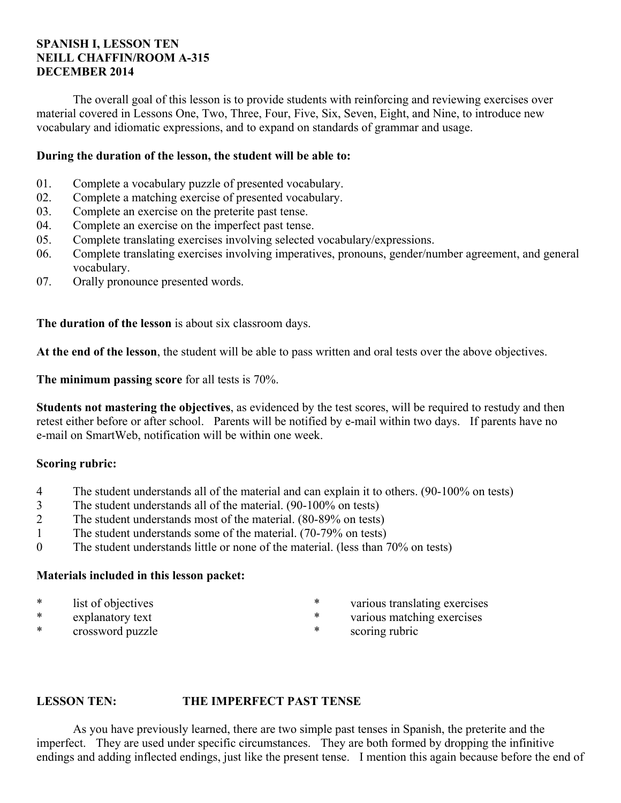# **SPANISH I, LESSON TEN NEILL CHAFFIN/ROOM A-315 DECEMBER 2014**

 The overall goal of this lesson is to provide students with reinforcing and reviewing exercises over material covered in Lessons One, Two, Three, Four, Five, Six, Seven, Eight, and Nine, to introduce new vocabulary and idiomatic expressions, and to expand on standards of grammar and usage.

# **During the duration of the lesson, the student will be able to:**

- 01. Complete a vocabulary puzzle of presented vocabulary.
- 02. Complete a matching exercise of presented vocabulary.
- 03. Complete an exercise on the preterite past tense.
- 04. Complete an exercise on the imperfect past tense.
- 05. Complete translating exercises involving selected vocabulary/expressions.
- 06. Complete translating exercises involving imperatives, pronouns, gender/number agreement, and general vocabulary.
- 07. Orally pronounce presented words.

**The duration of the lesson** is about six classroom days.

**At the end of the lesson**, the student will be able to pass written and oral tests over the above objectives.

**The minimum passing score** for all tests is 70%.

**Students not mastering the objectives**, as evidenced by the test scores, will be required to restudy and then retest either before or after school. Parents will be notified by e-mail within two days. If parents have no e-mail on SmartWeb, notification will be within one week.

# **Scoring rubric:**

- 4 The student understands all of the material and can explain it to others. (90-100% on tests)
- 3 The student understands all of the material. (90-100% on tests)
- 2 The student understands most of the material. (80-89% on tests)
- 1 The student understands some of the material. (70-79% on tests)
- 0 The student understands little or none of the material. (less than 70% on tests)

## **Materials included in this lesson packet:**

- \* list of objectives
- \* explanatory text<br>\* express expected pure
- crossword puzzle
- \* various translating exercises
- \* various matching exercises
	- scoring rubric

## **LESSON TEN: THE IMPERFECT PAST TENSE**

 As you have previously learned, there are two simple past tenses in Spanish, the preterite and the imperfect. They are used under specific circumstances. They are both formed by dropping the infinitive endings and adding inflected endings, just like the present tense. I mention this again because before the end of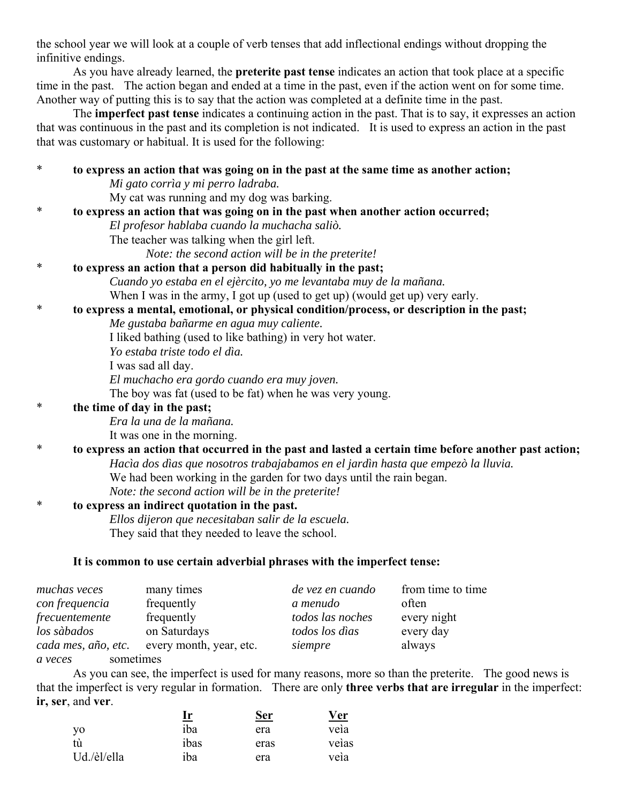the school year we will look at a couple of verb tenses that add inflectional endings without dropping the infinitive endings.

 As you have already learned, the **preterite past tense** indicates an action that took place at a specific time in the past. The action began and ended at a time in the past, even if the action went on for some time. Another way of putting this is to say that the action was completed at a definite time in the past.

 The **imperfect past tense** indicates a continuing action in the past. That is to say, it expresses an action that was continuous in the past and its completion is not indicated. It is used to express an action in the past that was customary or habitual. It is used for the following:

| $\ast$ | to express an action that was going on in the past at the same time as another action;               |
|--------|------------------------------------------------------------------------------------------------------|
|        | Mi gato corrìa y mi perro ladraba.                                                                   |
|        | My cat was running and my dog was barking.                                                           |
| *      | to express an action that was going on in the past when another action occurred;                     |
|        | El profesor hablaba cuando la muchacha saliò.                                                        |
|        | The teacher was talking when the girl left.                                                          |
|        | Note: the second action will be in the preterite!                                                    |
| ∗      | to express an action that a person did habitually in the past;                                       |
|        | Cuando yo estaba en el ejèrcito, yo me levantaba muy de la mañana.                                   |
|        | When I was in the army, I got up (used to get up) (would get up) very early.                         |
| $\ast$ | to express a mental, emotional, or physical condition/process, or description in the past;           |
|        | Me gustaba bañarme en agua muy caliente.                                                             |
|        | I liked bathing (used to like bathing) in very hot water.                                            |
|        | Yo estaba triste todo el dìa.                                                                        |
|        | I was sad all day.                                                                                   |
|        | El muchacho era gordo cuando era muy joven.                                                          |
|        | The boy was fat (used to be fat) when he was very young.                                             |
| ∗      | the time of day in the past;                                                                         |
|        | Era la una de la mañana.                                                                             |
|        | It was one in the morning.                                                                           |
| ∗      | to express an action that occurred in the past and lasted a certain time before another past action; |
|        | Hacìa dos dìas que nosotros trabajabamos en el jardìn hasta que empezò la lluvia.                    |
|        | We had been working in the garden for two days until the rain began.                                 |
|        | Note: the second action will be in the preterite!                                                    |
| $\ast$ | to express an indirect quotation in the past.                                                        |
|        | Ellos dijeron que necesitaban salir de la escuela.                                                   |
|        | They said that they needed to leave the school.                                                      |
|        | It is common to use certain adverbial phrases with the imperfect tense:                              |
|        | de vez en evendo from timo to timo<br>mughas years mony timos                                        |

| muchas veces         | many times              | de vez en cuando | from time to time |
|----------------------|-------------------------|------------------|-------------------|
| con frequencia       | frequently              | a menudo         | often             |
| frecuentemente       | frequently              | todos las noches | every night       |
| los sàbados          | on Saturdays            | todos los dìas   | every day         |
| cada mes, año, etc.  | every month, year, etc. | siempre          | always            |
| sometimes<br>a veces |                         |                  |                   |

 As you can see, the imperfect is used for many reasons, more so than the preterite. The good news is that the imperfect is very regular in formation. There are only **three verbs that are irregular** in the imperfect: **ir, ser**, and **ver**.

|             | <u>Ir</u> | Ser  | $v_{\rm er}$ |
|-------------|-----------|------|--------------|
| y0          | iba       | era  | veia         |
|             | ibas      | eras | veias        |
| Ud./èl/ella | iba       | era  | veia         |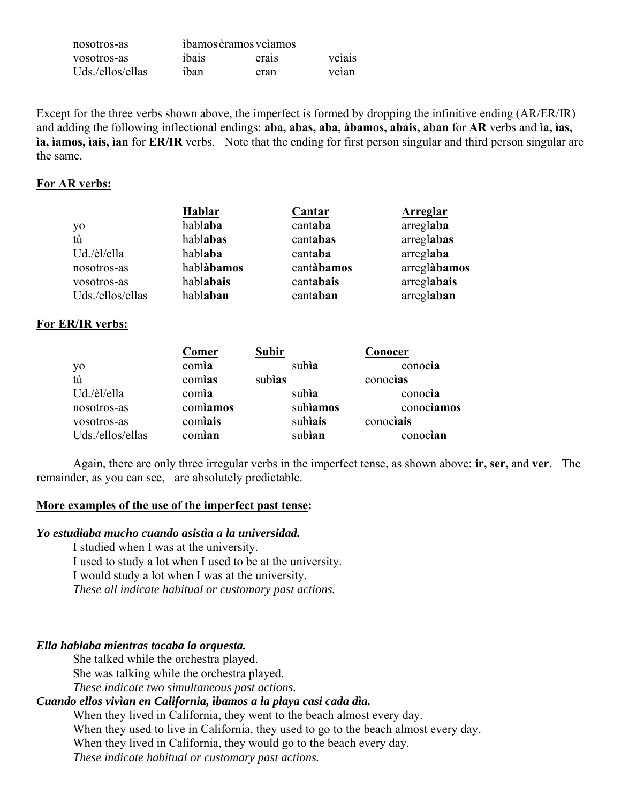| nosotros-as      |       | ibamos èramos veiamos |        |
|------------------|-------|-----------------------|--------|
| vosotros-as      | ibais | erais                 | veiais |
| Uds./ellos/ellas | ihan  | eran                  | veian  |

Except for the three verbs shown above, the imperfect is formed by dropping the infinitive ending (AR/ER/IR) and adding the following inflectional endings: aba, abas, aba, àbamos, abais, aban for AR verbs and ia, ias, ia, iamos, iais, ian for ER/IR verbs. Note that the ending for first person singular and third person singular are the same.

#### For AR verbs:

|                  | Hablar     | Cantar     | Arreglar     |
|------------------|------------|------------|--------------|
| yo               | hablaba    | cantaba    | arreglaba    |
| tù               | hablabas   | cantabas   | arreglabas   |
| Ud./èl/ella      | hablaba    | cantaba    | arreglaba    |
| nosotros-as      | hablàbamos | cantàbamos | arreglàbamos |
| vosotros-as      | hablabais  | cantabais  | arreglabais  |
| Uds./ellos/ellas | hablaban   | cantaban   | arreglaban   |

#### For ER/IR verbs:

|                  | Comer    | Subir   |          | <b>Conocer</b> |
|------------------|----------|---------|----------|----------------|
| yo               | comia    | subia   |          | conocia        |
| tù               | comias   | subias  |          | conocias       |
| Ud./èl/ella      | comia    | subia   |          | conocia        |
| nosotros-as      | comiamos |         | subiamos | conociamos     |
| vosotros-as      | comiais  | subiais |          | conociais      |
| Uds./ellos/ellas | comian   | subian  |          | conocian       |

Again, there are only three irregular verbs in the imperfect tense, as shown above: **ir, ser,** and **ver**. The remainder, as you can see, are absolutely predictable.

#### More examples of the use of the imperfect past tense:

#### Yo estudiaba mucho cuando asistía a la universidad.

I studied when I was at the university. I used to study a lot when I used to be at the university. I would study a lot when I was at the university. These all indicate habitual or customary past actions.

#### Ella hablaba mientras tocaba la orquesta.

She talked while the orchestra played. She was talking while the orchestra played.

These indicate two simultaneous past actions.

# Cuando ellos vivían en California, ibamos a la playa casi cada día.

When they lived in California, they went to the beach almost every day. When they used to live in California, they used to go to the beach almost every day. When they lived in California, they would go to the beach every day. These indicate habitual or customary past actions.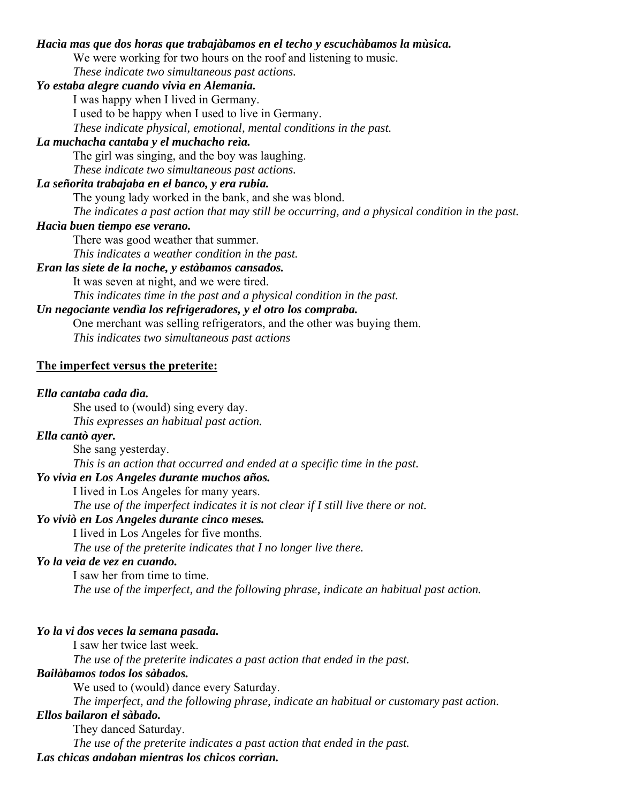#### *Hacìa mas que dos horas que trabajàbamos en el techo y escuchàbamos la mùsica.*

We were working for two hours on the roof and listening to music.

*These indicate two simultaneous past actions.*

# *Yo estaba alegre cuando vivìa en Alemania.*

I was happy when I lived in Germany.

I used to be happy when I used to live in Germany.

*These indicate physical, emotional, mental conditions in the past.*

# *La muchacha cantaba y el muchacho reìa.*

The girl was singing, and the boy was laughing.

 *These indicate two simultaneous past actions.*

# *La señorita trabajaba en el banco, y era rubia.*

The young lady worked in the bank, and she was blond.

*The indicates a past action that may still be occurring, and a physical condition in the past.*

#### *Hacìa buen tiempo ese verano.*

There was good weather that summer.

*This indicates a weather condition in the past.*

#### *Eran las siete de la noche, y estàbamos cansados.*

It was seven at night, and we were tired.

*This indicates time in the past and a physical condition in the past.*

# *Un negociante vendìa los refrigeradores, y el otro los compraba.*

 One merchant was selling refrigerators, and the other was buying them. *This indicates two simultaneous past actions*

#### **The imperfect versus the preterite:**

#### *Ella cantaba cada dìa.*

She used to (would) sing every day.

 *This expresses an habitual past action.*

# *Ella cantò ayer.*

 She sang yesterday.  *This is an action that occurred and ended at a specific time in the past.*

#### *Yo vivìa en Los Angeles durante muchos años.*

I lived in Los Angeles for many years.

 *The use of the imperfect indicates it is not clear if I still live there or not.*

# *Yo viviò en Los Angeles durante cinco meses.*

I lived in Los Angeles for five months.

 *The use of the preterite indicates that I no longer live there.*

# *Yo la veìa de vez en cuando.*

 I saw her from time to time.  *The use of the imperfect, and the following phrase, indicate an habitual past action.*

#### *Yo la vi dos veces la semana pasada.*

I saw her twice last week.

 *The use of the preterite indicates a past action that ended in the past.*

# *Bailàbamos todos los sàbados.*

We used to (would) dance every Saturday.

 *The imperfect, and the following phrase, indicate an habitual or customary past action.*

#### *Ellos bailaron el sàbado.*

They danced Saturday.

 *The use of the preterite indicates a past action that ended in the past.*

## *Las chicas andaban mientras los chicos corrìan.*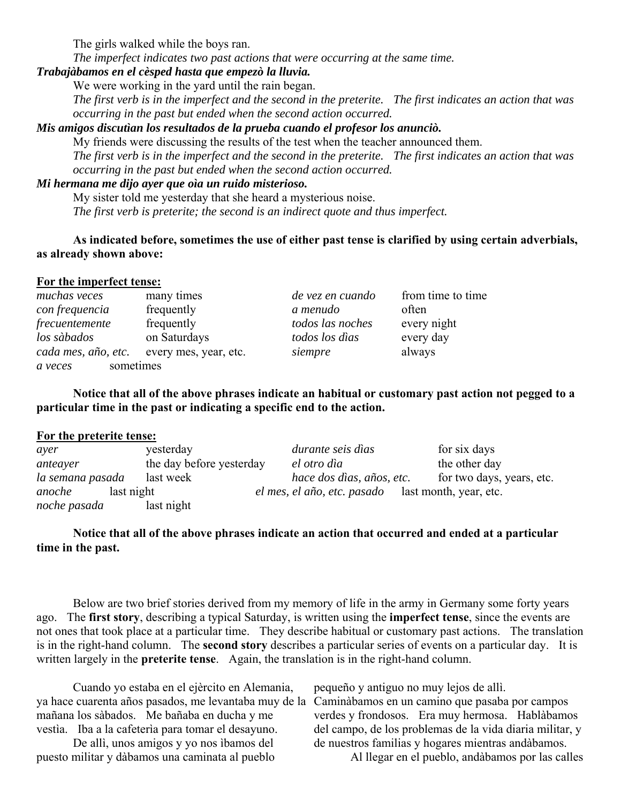The girls walked while the boys ran.

 *The imperfect indicates two past actions that were occurring at the same time.*

# *Trabajàbamos en el cèsped hasta que empezò la lluvia.*

We were working in the yard until the rain began.

 *The first verb is in the imperfect and the second in the preterite. The first indicates an action that was occurring in the past but ended when the second action occurred.* 

*Mis amigos discutìan los resultados de la prueba cuando el profesor los anunciò.*

 My friends were discussing the results of the test when the teacher announced them.  *The first verb is in the imperfect and the second in the preterite. The first indicates an action that was occurring in the past but ended when the second action occurred.*

#### *Mi hermana me dijo ayer que oìa un ruido misterioso.*

 My sister told me yesterday that she heard a mysterious noise. *The first verb is preterite; the second is an indirect quote and thus imperfect.*

**As indicated before, sometimes the use of either past tense is clarified by using certain adverbials, as already shown above:**

#### **For the imperfect tense:**

| muchas veces         | many times            | de vez en cuando | from time to time |
|----------------------|-----------------------|------------------|-------------------|
| con frequencia       | frequently            | a menudo         | often             |
| frecuentemente       | frequently            | todos las noches | every night       |
| los sàbados          | on Saturdays          | todos los dìas   | every day         |
| cada mes, año, etc.  | every mes, year, etc. | siempre          | always            |
| sometimes<br>a veces |                       |                  |                   |

**Notice that all of the above phrases indicate an habitual or customary past action not pegged to a particular time in the past or indicating a specific end to the action.**

#### **For the preterite tense:**

| ayer             | yesterday                | durante seis dìas                                  | for six days              |
|------------------|--------------------------|----------------------------------------------------|---------------------------|
| anteayer         | the day before yesterday | el otro dìa                                        | the other day             |
| la semana pasada | last week                | hace dos dìas, años, etc.                          | for two days, years, etc. |
| anoche           | last night               | el mes, el año, etc. pasado last month, year, etc. |                           |
| noche pasada     | last night               |                                                    |                           |

## **Notice that all of the above phrases indicate an action that occurred and ended at a particular time in the past.**

 Below are two brief stories derived from my memory of life in the army in Germany some forty years ago. The **first story**, describing a typical Saturday, is written using the **imperfect tense**, since the events are not ones that took place at a particular time. They describe habitual or customary past actions. The translation is in the right-hand column. The **second story** describes a particular series of events on a particular day. It is written largely in the **preterite tense**. Again, the translation is in the right-hand column.

 Cuando yo estaba en el ejèrcito en Alemania, ya hace cuarenta años pasados, me levantaba muy de la Caminàbamos en un camino que pasaba por campos mañana los sàbados. Me bañaba en ducha y me vestìa. Iba a la cafeterìa para tomar el desayuno.

 De allì, unos amigos y yo nos ìbamos del puesto militar y dàbamos una caminata al pueblo pequeño y antiguo no muy lejos de allì.

verdes y frondosos. Era muy hermosa. Hablàbamos del campo, de los problemas de la vida diaria militar, y de nuestros familias y hogares mientras andàbamos.

Al llegar en el pueblo, andàbamos por las calles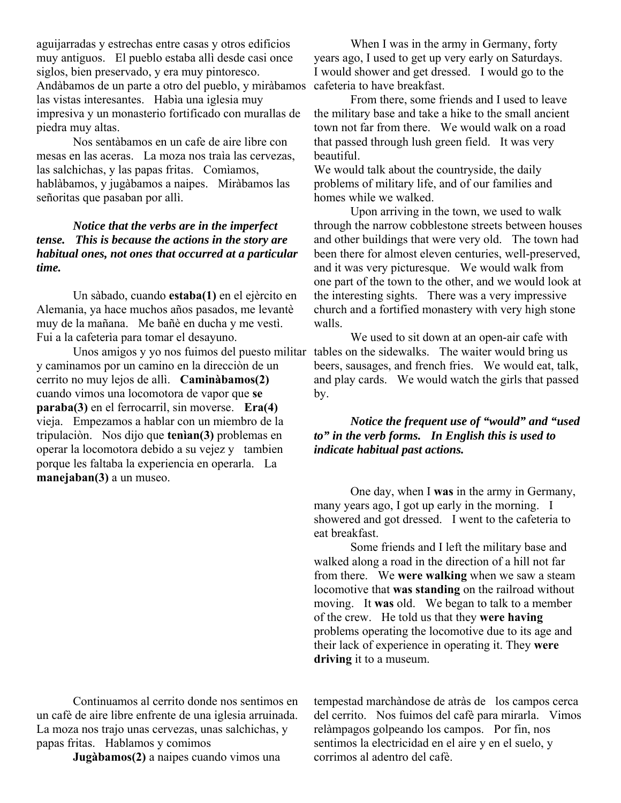aguijarradas y estrechas entre casas y otros edificios muy antiguos. El pueblo estaba allì desde casi once siglos, bien preservado, y era muy pintoresco. Andàbamos de un parte a otro del pueblo, y miràbamos las vistas interesantes. Habìa una iglesia muy impresiva y un monasterio fortificado con murallas de piedra muy altas.

 Nos sentàbamos en un cafe de aire libre con mesas en las aceras. La moza nos traìa las cervezas, las salchichas, y las papas fritas. Comìamos, hablàbamos, y jugàbamos a naipes. Miràbamos las señoritas que pasaban por allì.

# *Notice that the verbs are in the imperfect tense. This is because the actions in the story are habitual ones, not ones that occurred at a particular time.*

 Un sàbado, cuando **estaba(1)** en el ejèrcito en Alemania, ya hace muchos años pasados, me levantè muy de la mañana. Me bañè en ducha y me vestì. Fui a la cafeterìa para tomar el desayuno.

 Unos amigos y yo nos fuimos del puesto militar tables on the sidewalks. The waiter would bring us y caminamos por un camino en la direcciòn de un cerrito no muy lejos de allì. **Caminàbamos(2)** cuando vimos una locomotora de vapor que **se paraba(3)** en el ferrocarril, sin moverse. **Era(4)** vieja. Empezamos a hablar con un miembro de la tripulaciòn. Nos dijo que **tenìan(3)** problemas en operar la locomotora debido a su vejez y tambien porque les faltaba la experiencia en operarla. La **manejaban(3)** a un museo.

 Continuamos al cerrito donde nos sentimos en un cafè de aire libre enfrente de una iglesia arruinada. La moza nos trajo unas cervezas, unas salchichas, y papas fritas. Hablamos y comimos

**Jugàbamos(2)** a naipes cuando vimos una

 When I was in the army in Germany, forty years ago, I used to get up very early on Saturdays. I would shower and get dressed. I would go to the cafeteria to have breakfast.

 From there, some friends and I used to leave the military base and take a hike to the small ancient town not far from there. We would walk on a road that passed through lush green field. It was very beautiful.

We would talk about the countryside, the daily problems of military life, and of our families and homes while we walked.

 Upon arriving in the town, we used to walk through the narrow cobblestone streets between houses and other buildings that were very old. The town had been there for almost eleven centuries, well-preserved, and it was very picturesque. We would walk from one part of the town to the other, and we would look at the interesting sights. There was a very impressive church and a fortified monastery with very high stone walls.

 We used to sit down at an open-air cafe with beers, sausages, and french fries. We would eat, talk, and play cards. We would watch the girls that passed by.

*Notice the frequent use of "would" and "used to" in the verb forms. In English this is used to indicate habitual past actions.*

 One day, when I **was** in the army in Germany, many years ago, I got up early in the morning. I showered and got dressed. I went to the cafeteria to eat breakfast.

 Some friends and I left the military base and walked along a road in the direction of a hill not far from there. We **were walking** when we saw a steam locomotive that **was standing** on the railroad without moving. It **was** old. We began to talk to a member of the crew. He told us that they **were having** problems operating the locomotive due to its age and their lack of experience in operating it. They **were driving** it to a museum.

tempestad marchàndose de atràs de los campos cerca del cerrito. Nos fuimos del cafè para mirarla. Vimos relàmpagos golpeando los campos. Por fin, nos sentimos la electricidad en el aire y en el suelo, y corrimos al adentro del cafè.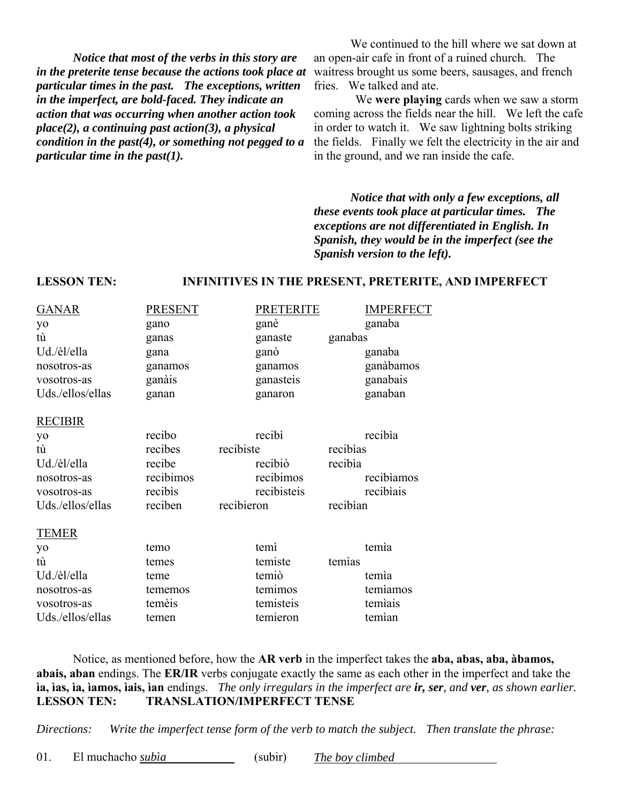*Notice that most of the verbs in this story are in the preterite tense because the actions took place at particular times in the past. The exceptions, written in the imperfect, are bold-faced. They indicate an action that was occurring when another action took place(2), a continuing past action(3), a physical condition in the past(4), or something not pegged to a particular time in the past(1).*

 We continued to the hill where we sat down at an open-air cafe in front of a ruined church. The waitress brought us some beers, sausages, and french fries. We talked and ate.

 We **were playing** cards when we saw a storm coming across the fields near the hill. We left the cafe in order to watch it. We saw lightning bolts striking the fields. Finally we felt the electricity in the air and in the ground, and we ran inside the cafe.

*Notice that with only a few exceptions, all these events took place at particular times. The exceptions are not differentiated in English. In Spanish, they would be in the imperfect (see the Spanish version to the left).*

#### **LESSON TEN: INFINITIVES IN THE PRESENT, PRETERITE, AND IMPERFECT**

| <b>GANAR</b><br>yo<br>tù<br>Ud./èl/ella<br>nosotros-as<br>vosotros-as<br>Uds./ellos/ellas   | <b>PRESENT</b><br>gano<br>ganas<br>gana<br>ganamos<br>ganàis<br>ganan |                         | <b>PRETERITE</b><br>ganè<br>ganaste<br>ganò<br>ganamos<br>ganasteis<br>ganaron | ganabas                         | <b>IMPERFECT</b><br>ganaba<br>ganaba<br>ganàbamos<br>ganabais<br>ganaban |
|---------------------------------------------------------------------------------------------|-----------------------------------------------------------------------|-------------------------|--------------------------------------------------------------------------------|---------------------------------|--------------------------------------------------------------------------|
| <b>RECIBIR</b><br>yo<br>tù<br>Ud./èl/ella<br>nosotros-as<br>vosotros-as<br>Uds./ellos/ellas | recibo<br>recibes<br>recibe<br>recibimos<br>recibis<br>reciben        | recibiste<br>recibieron | recibì<br>recibiò<br>recibimos<br>recibisteis                                  | recibias<br>recibia<br>recibian | recibia<br>recibiamos<br>recibiais                                       |
| <b>TEMER</b><br>yo<br>tù<br>Ud./èl/ella<br>nosotros-as<br>vosotros-as<br>Uds./ellos/ellas   | temo<br>temes<br>teme<br>tememos<br>temèis<br>temen                   |                         | temì<br>temiste<br>temiò<br>temimos<br>temisteis<br>temieron                   | temias                          | temia<br>temia<br>temiamos<br>temiais<br>temian                          |

 Notice, as mentioned before, how the **AR verb** in the imperfect takes the **aba, abas, aba, àbamos, abais, aban** endings. The **ER/IR** verbs conjugate exactly the same as each other in the imperfect and take the **ìa, ìas, ìa, ìamos, ìais, ìan** endings. *The only irregulars in the imperfect are ir, ser, and ver, as shown earlier.* **LESSON TEN: TRANSLATION/IMPERFECT TENSE**

*Directions: Write the imperfect tense form of the verb to match the subject. Then translate the phrase:*

01. El muchacho *subìa* (subir) *The boy climbed*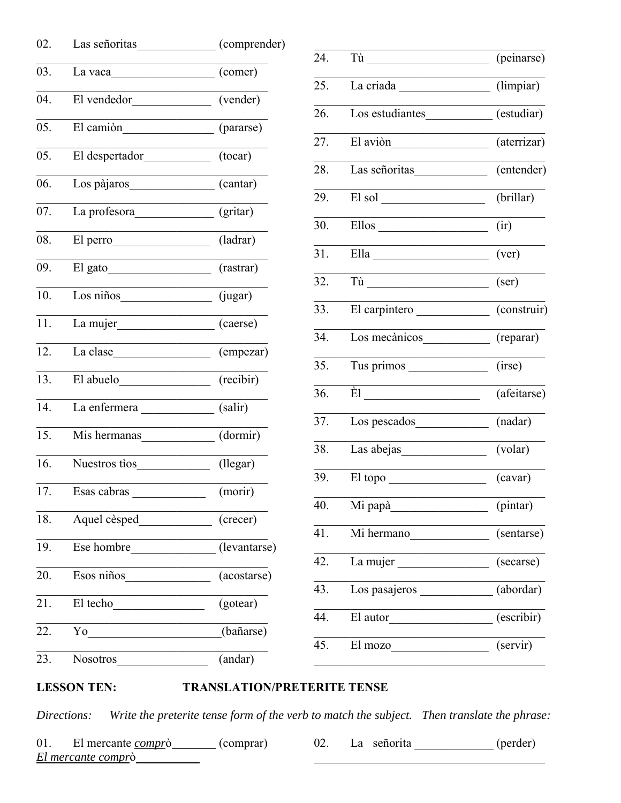| 02. | Las señoritas                                                                                                                                                                                                                                                                                                                                                                                                                                     | (comprender)                 |
|-----|---------------------------------------------------------------------------------------------------------------------------------------------------------------------------------------------------------------------------------------------------------------------------------------------------------------------------------------------------------------------------------------------------------------------------------------------------|------------------------------|
| 03. | La vaca $\frac{1}{\sqrt{1-\frac{1}{2}} \cdot \frac{1}{2} \cdot \frac{1}{2} \cdot \frac{1}{2} \cdot \frac{1}{2} \cdot \frac{1}{2} \cdot \frac{1}{2} \cdot \frac{1}{2} \cdot \frac{1}{2} \cdot \frac{1}{2} \cdot \frac{1}{2} \cdot \frac{1}{2} \cdot \frac{1}{2} \cdot \frac{1}{2} \cdot \frac{1}{2} \cdot \frac{1}{2} \cdot \frac{1}{2} \cdot \frac{1}{2} \cdot \frac{1}{2} \cdot \frac{1}{2} \cdot \frac{1}{2} \cdot \frac{1}{2} \cdot \frac{1}{$ | (comer)                      |
| 04. | El vendedor                                                                                                                                                                                                                                                                                                                                                                                                                                       | (vender)                     |
| 05. | El camión                                                                                                                                                                                                                                                                                                                                                                                                                                         | (pararse)                    |
| 05. |                                                                                                                                                                                                                                                                                                                                                                                                                                                   | (tocar)                      |
| 06. | Los pàjaros                                                                                                                                                                                                                                                                                                                                                                                                                                       | $\overline{(cantar)}$        |
| 07. | La profesora                                                                                                                                                                                                                                                                                                                                                                                                                                      | (gritar)                     |
| 08. | El perro                                                                                                                                                                                                                                                                                                                                                                                                                                          | (ladrar)                     |
| 09. | El gato                                                                                                                                                                                                                                                                                                                                                                                                                                           | (rastrar)                    |
| 10. | Los niños                                                                                                                                                                                                                                                                                                                                                                                                                                         | (jugar)                      |
| 11. | La mujer                                                                                                                                                                                                                                                                                                                                                                                                                                          | (caerse)                     |
| 12. | La clase                                                                                                                                                                                                                                                                                                                                                                                                                                          | (empezar)                    |
| 13. | El abuelo                                                                                                                                                                                                                                                                                                                                                                                                                                         | (recibir)                    |
| 14. | La enfermera (salir)                                                                                                                                                                                                                                                                                                                                                                                                                              |                              |
| 15. | Mis hermanas                                                                                                                                                                                                                                                                                                                                                                                                                                      | $\overline{\text{(dormir)}}$ |
| 16. | Nuestros tios                                                                                                                                                                                                                                                                                                                                                                                                                                     | $($ llegar $)$               |
| 17. | Esas cabras                                                                                                                                                                                                                                                                                                                                                                                                                                       | (morir)                      |
| 18. | Aquel cèsped                                                                                                                                                                                                                                                                                                                                                                                                                                      | (crecer)                     |
| 19. | Ese hombre (levantarse)                                                                                                                                                                                                                                                                                                                                                                                                                           |                              |
| 20. | Esos niños<br><u> 1990 - Johann Barbara, martx</u>                                                                                                                                                                                                                                                                                                                                                                                                | (acostarse)                  |
| 21. | El techo                                                                                                                                                                                                                                                                                                                                                                                                                                          | (gotear)                     |
| 22. | Yo<br><u> 1980 - Johann Barbara, martxa alemaniar a</u>                                                                                                                                                                                                                                                                                                                                                                                           | (bañarse)                    |
| 23. | <b>Nosotros</b>                                                                                                                                                                                                                                                                                                                                                                                                                                   | (andar)                      |

| 24.               | Tù                                                                                                                                                                                                                            | (peinarse)            |
|-------------------|-------------------------------------------------------------------------------------------------------------------------------------------------------------------------------------------------------------------------------|-----------------------|
| 25.               | La criada                                                                                                                                                                                                                     | (limpiar)             |
| 26.               | Los estudiantes                                                                                                                                                                                                               | (estudiar)            |
| 27.               | El avion                                                                                                                                                                                                                      | (aterrizar)           |
| 28.               | Las señoritas                                                                                                                                                                                                                 | (entender)            |
| 29.               | El sol                                                                                                                                                                                                                        | (brillar)             |
| 30.               | Ellos and the state of the state of the state of the state of the state of the state of the state of the state of the state of the state of the state of the state of the state of the state of the state of the state of the | $\left($ ir $\right)$ |
| 31.               | Ella                                                                                                                                                                                                                          | (ver)                 |
| 32.               |                                                                                                                                                                                                                               | $(\text{ser})$        |
| 33.               | El carpintero                                                                                                                                                                                                                 | (construir)           |
| 34.               | Los mecànicos                                                                                                                                                                                                                 | (reparar)             |
| 35.               | Tus primos                                                                                                                                                                                                                    | (irse)                |
| 36.               | $\dot{E}1$                                                                                                                                                                                                                    | (afeitarse)           |
| 37.               | Los pescados                                                                                                                                                                                                                  | (nadar)               |
| 38.               | Las abejas                                                                                                                                                                                                                    | (volar)               |
| 39.               | El topo                                                                                                                                                                                                                       | (cavar)               |
| $\overline{40}$ . | Mi papà                                                                                                                                                                                                                       | (pintar)              |
| 41.               | Mi hermano                                                                                                                                                                                                                    | (sentarse)            |
| 42.               | La mujer                                                                                                                                                                                                                      | (secarse)             |
| 43.               |                                                                                                                                                                                                                               | (abordar)             |
| 44.               | El autor                                                                                                                                                                                                                      | (escribir)            |
| 45.               | El mozo                                                                                                                                                                                                                       | (servir)              |
|                   |                                                                                                                                                                                                                               |                       |

#### **LESSON TEN: TRANSLATION/PRETERITE TENSE**

Write the preterite tense form of the verb to match the subject. Then translate the phrase: Directions:

El mercante *compr*ò (comprar) 02. La señorita (perder)  $01.$ El mercante comprò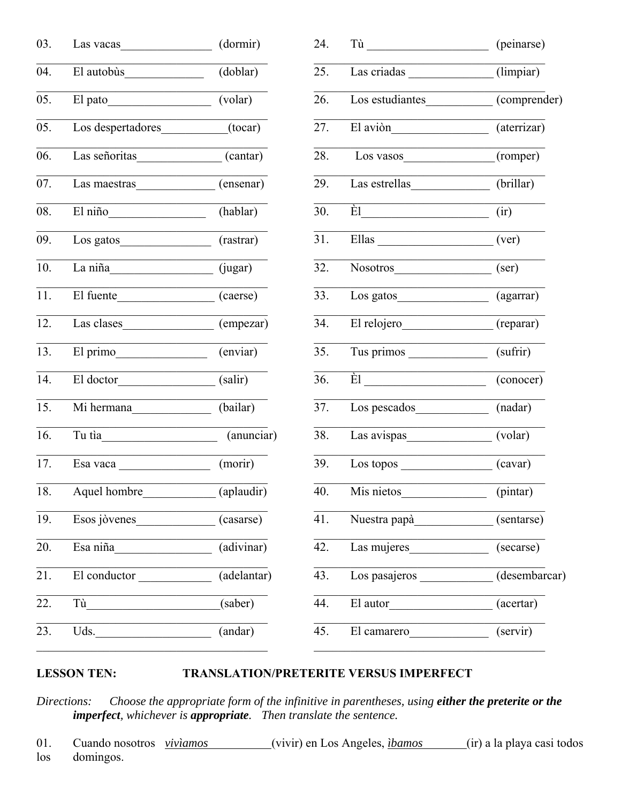| Las vacas                                                                                                                                                                                                                                                                                                                                                                                                                                       | (dormir)                       |
|-------------------------------------------------------------------------------------------------------------------------------------------------------------------------------------------------------------------------------------------------------------------------------------------------------------------------------------------------------------------------------------------------------------------------------------------------|--------------------------------|
| El autobùs                                                                                                                                                                                                                                                                                                                                                                                                                                      | (doblar)                       |
|                                                                                                                                                                                                                                                                                                                                                                                                                                                 | (volar)                        |
| Los despertadores (tocar)                                                                                                                                                                                                                                                                                                                                                                                                                       |                                |
| Las señoritas (cantar)                                                                                                                                                                                                                                                                                                                                                                                                                          |                                |
| Las maestras                                                                                                                                                                                                                                                                                                                                                                                                                                    | (ensenar)                      |
| El niño                                                                                                                                                                                                                                                                                                                                                                                                                                         | (hablar)                       |
|                                                                                                                                                                                                                                                                                                                                                                                                                                                 | (rastrar)                      |
| La niña $\frac{1}{2}$                                                                                                                                                                                                                                                                                                                                                                                                                           | (iugar)                        |
| El fuente                                                                                                                                                                                                                                                                                                                                                                                                                                       | (caerse)                       |
|                                                                                                                                                                                                                                                                                                                                                                                                                                                 | (empezar)                      |
| El primo                                                                                                                                                                                                                                                                                                                                                                                                                                        | (enviar)                       |
| El doctor                                                                                                                                                                                                                                                                                                                                                                                                                                       | (salir)                        |
| Mi hermana                                                                                                                                                                                                                                                                                                                                                                                                                                      | (bailar)                       |
| Tu tia                                                                                                                                                                                                                                                                                                                                                                                                                                          | (anunciar)                     |
| Esa vaca $\frac{1}{\sqrt{1-\frac{1}{2}} \cdot \frac{1}{\sqrt{1-\frac{1}{2}} \cdot \frac{1}{\sqrt{1-\frac{1}{2}} \cdot \frac{1}{\sqrt{1-\frac{1}{2}} \cdot \frac{1}{\sqrt{1-\frac{1}{2}} \cdot \frac{1}{\sqrt{1-\frac{1}{2}} \cdot \frac{1}{\sqrt{1-\frac{1}{2}} \cdot \frac{1}{\sqrt{1-\frac{1}{2}} \cdot \frac{1}{\sqrt{1-\frac{1}{2}} \cdot \frac{1}{\sqrt{1-\frac{1}{2}} \cdot \frac{1}{\sqrt{1-\frac{1}{2}} \cdot \frac{1}{\sqrt{1-\frac{1$ | (morir)                        |
| Aquel hombre (aplaudir)                                                                                                                                                                                                                                                                                                                                                                                                                         |                                |
| Esos jòvenes                                                                                                                                                                                                                                                                                                                                                                                                                                    | (casarse)                      |
| Esa niña                                                                                                                                                                                                                                                                                                                                                                                                                                        | $\overline{\text{(adivinar)}}$ |
| El conductor                                                                                                                                                                                                                                                                                                                                                                                                                                    | (adelantar)                    |
| Tù                                                                                                                                                                                                                                                                                                                                                                                                                                              | (saber)                        |
| Uds.                                                                                                                                                                                                                                                                                                                                                                                                                                            | (andar)                        |
|                                                                                                                                                                                                                                                                                                                                                                                                                                                 |                                |

| 24. |                                                                                                                                                                                                                                | (peinarse)                    |
|-----|--------------------------------------------------------------------------------------------------------------------------------------------------------------------------------------------------------------------------------|-------------------------------|
| 25. | Las criadas (limpiar)                                                                                                                                                                                                          |                               |
| 26. | Los estudiantes                                                                                                                                                                                                                | (comprender)                  |
| 27. | El aviòn                                                                                                                                                                                                                       | (aterrizar)                   |
| 28. | Los vasos (romper)                                                                                                                                                                                                             |                               |
| 29. | Las estrellas                                                                                                                                                                                                                  | $\overline{\text{(brillar)}}$ |
| 30. | $\dot{E}1$                                                                                                                                                                                                                     | $\left($ ir $\right)$         |
| 31. | Ellas<br><u> 1989 - Johann Barn, mars eta bainar eta erromaniar eta erromania eta erromania eta erromania eta erromania e</u>                                                                                                  | (ver)                         |
| 32. | Nosotros                                                                                                                                                                                                                       | $(\text{ser})$                |
| 33. | Los gatos                                                                                                                                                                                                                      | (agarrar)                     |
| 34. | El relojero                                                                                                                                                                                                                    | (reparar)                     |
| 35. | Tus primos                                                                                                                                                                                                                     | (sufrir)                      |
| 36. | $\overline{E1}$                                                                                                                                                                                                                | (conocer)                     |
| 37. |                                                                                                                                                                                                                                | (nadar)                       |
| 38. | Las avispas (volar)                                                                                                                                                                                                            |                               |
| 39. | Los topos experiences and the set of the set of the set of the set of the set of the set of the set of the set of the set of the set of the set of the set of the set of the set of the set of the set of the set of the set o | (cavar)                       |
| 40. | Mis nietos                                                                                                                                                                                                                     | (pintar)                      |
| 41. | Nuestra papà                                                                                                                                                                                                                   | (sentarse)                    |
| 42. | Las mujeres                                                                                                                                                                                                                    | (secarse)                     |
| 43. | Los pasajeros                                                                                                                                                                                                                  | (desembarcar)                 |
| 44. | El autor                                                                                                                                                                                                                       | (acertar)                     |
| 45. | El camarero                                                                                                                                                                                                                    | (servir)                      |

#### **LESSON TEN: TRANSLATION/PRETERITE VERSUS IMPERFECT**

ions: Choose the appropriate form of the infinitive in parentheses, using **either the preterite or the imperfect**, whichever is **appropriate**. Then translate the sentence. Directions:

01. Cuando nosotros viviamos (vivir) en Los Angeles, ibamos (ir) a la playa casi todos domingos.  $\log$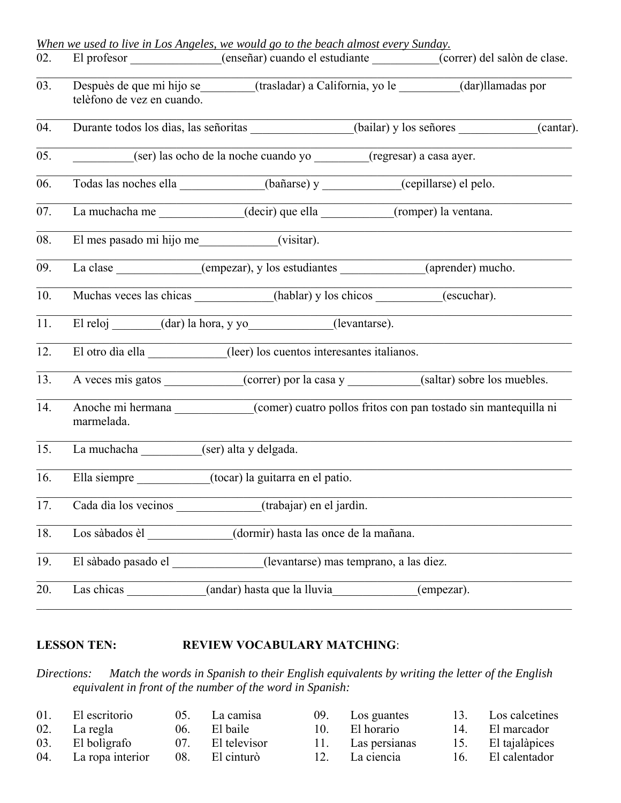|     | When we used to live in Los Angeles, we would go to the beach almost every Sunday.                                                                                                                                             |                                                                                              |                   |           |
|-----|--------------------------------------------------------------------------------------------------------------------------------------------------------------------------------------------------------------------------------|----------------------------------------------------------------------------------------------|-------------------|-----------|
| 02. | El profesor _____________(enseñar) cuando el estudiante ________(correr) del salòn de clase.                                                                                                                                   |                                                                                              |                   |           |
| 03. | Despuès de que mi hijo se ______(trasladar) a California, yo le ______(dar)llamadas por<br>telèfono de vez en cuando.                                                                                                          |                                                                                              |                   |           |
| 04. |                                                                                                                                                                                                                                | Durante todos los dias, las señoritas ______________(bailar) y los señores ____________      |                   | (cantar). |
| 05. |                                                                                                                                                                                                                                | (ser) las ocho de la noche cuando yo (regresar) a casa ayer.                                 |                   |           |
| 06. |                                                                                                                                                                                                                                | Todas las noches ella ___________(bañarse) y _________(cepillarse) el pelo.                  |                   |           |
| 07. |                                                                                                                                                                                                                                | La muchacha me _____________(decir) que ella _________(romper) la ventana.                   |                   |           |
| 08. | El mes pasado mi hijo me___________(visitar).                                                                                                                                                                                  |                                                                                              |                   |           |
| 09. | La clase _____________(empezar), y los estudiantes _____________________________                                                                                                                                               |                                                                                              | (aprender) mucho. |           |
| 10. |                                                                                                                                                                                                                                | Muchas veces las chicas (hablar) y los chicos (escuchar).                                    |                   |           |
| 11. | El reloj (dar) la hora, y yo (levantarse).                                                                                                                                                                                     |                                                                                              |                   |           |
| 12. |                                                                                                                                                                                                                                | El otro dia ella _____________(leer) los cuentos interesantes italianos.                     |                   |           |
| 13. | A veces mis gatos (correr) por la casa y (saltar) sobre los muebles.                                                                                                                                                           |                                                                                              |                   |           |
| 14. | marmelada.                                                                                                                                                                                                                     | Anoche mi hermana ___________(comer) cuatro pollos fritos con pan tostado sin mantequilla ni |                   |           |
| 15. | La muchacha (ser) alta y delgada.                                                                                                                                                                                              |                                                                                              |                   |           |
| 16. | Ella siempre (tocar) la guitarra en el patio.                                                                                                                                                                                  |                                                                                              |                   |           |
| 17. |                                                                                                                                                                                                                                | Cada dia los vecinos (trabajar) en el jardin.                                                |                   |           |
| 18. | Los sàbados èl volta de la contradición de la contradición de la contradición de la contradición de la contradición de la contradición de la contradición de la contradición de la contradición de la contradición de la contr | (dormir) hasta las once de la mañana.                                                        |                   |           |
| 19. | El sàbado pasado el                                                                                                                                                                                                            | (levantarse) mas temprano, a las diez.                                                       |                   |           |
| 20. | Las chicas                                                                                                                                                                                                                     | (andar) hasta que la lluvia                                                                  | (empezar).        |           |

# **LESSON TEN:** REVIEW VOCABULARY MATCHING:

*Directions: Match the words in Spanish to their English equivalents by writing the letter of the English equivalent in front of the number of the word in Spanish:*

| 01. El escritorio    | 05. La camisa    |     | 09. Los guantes   |     | 13. Los calcetines |
|----------------------|------------------|-----|-------------------|-----|--------------------|
| 02. La regla         | 06. El baile     | 10. | El horario        | 14. | El marcador        |
| 03. El boligrafo     | 07. El televisor |     | 11. Las persianas |     | 15. El tajalàpices |
| 04. La ropa interior | 08. El cinturò   |     | 12. La ciencia    |     | 16. El calentador  |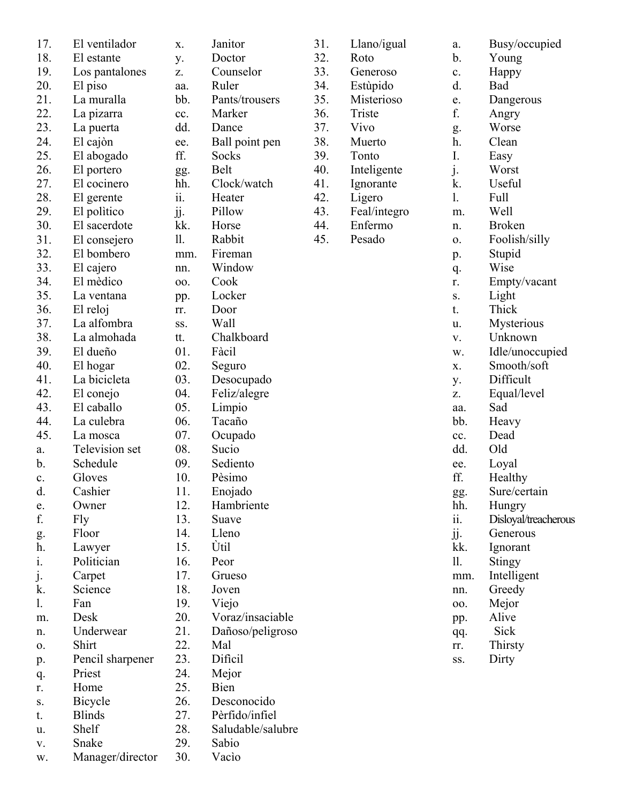| 17.           | El ventilador    |
|---------------|------------------|
| 18.           | El estante       |
| 19.           | Los pantalones   |
| 20.           | El piso          |
| 21.           | La muralla       |
| 22.           |                  |
|               | La pizarra       |
| 23.           | La puerta        |
| 24.           | El cajòn         |
| 25.           | El abogado       |
| 26.           | El portero       |
| 27.           | El cocinero      |
| 28.           | El gerente       |
| 29.           | El politico      |
| 30.           | El sacerdote     |
| 31.           | El consejero     |
| 32.           | El bombero       |
| 33.           | El cajero        |
| 34.           | El mèdico        |
| 35.           | La ventana       |
| 36.           | El reloj         |
| 37.           | La alfombra      |
| 38.           | La almohada      |
| 39.           | El dueño         |
| 40.           | El hogar         |
| 41.           | La bicicleta     |
| 42.           | El conejo        |
| 43.           | El caballo       |
| 44.           | La culebra       |
| 45.           | La mosca         |
| a.            | Television set   |
| b.            | Schedule         |
| c.            | Gloves           |
| d.            | Cashier          |
| e.            | Owner            |
| f.            | Fly              |
| g.            | Floor            |
| h.            | Lawyer           |
| $\frac{1}{1}$ | Politician       |
| j.            | Carpet           |
| k.            | Science          |
| 1.            | Fan              |
| m.            | Desk             |
| n.            | Underwear        |
| о.            | Shirt            |
| p.            | Pencil sharpener |
| q.            | Priest           |
| r.            | Home             |
| S.            | Bicycle          |
| t.            | <b>Blinds</b>    |
| u.            | Shelf            |
| v.            | Snake            |
| w.            | Manager/director |

| X.         | Janitor                   |
|------------|---------------------------|
| y.         | Doctor                    |
| Z.         | Counselor                 |
| aa.        | Ruler                     |
| bb.        | Pants/trousers            |
| cc.        | Marker                    |
| dd.        | Dance                     |
| ee.        | Ball point pen            |
| ff.        | Socks                     |
| gg.        | Belt                      |
| hh.        | Clock/watch               |
| ii.        | Heater                    |
| jj.        | Pillow                    |
| kk.        | Horse                     |
| 11.        | Rabbit                    |
| mm.        | Fireman                   |
| nn.        | Window                    |
| 00.        | Cook                      |
| pp.        | Locker                    |
| rr.        | Door                      |
| SS.        | Wall                      |
| tt.        | Chalkboard                |
| 01.        | Fàcil                     |
| 02.        | Seguro                    |
| 03.        | Desocupado                |
| 04.        | Feliz/alegre              |
| 05.        | Limpio                    |
| 06.        | Tacaño                    |
| 07.        | Ocupado                   |
| 08.        | Sucio                     |
| 09.        | Sediento                  |
| 10.        | Pèsimo                    |
| 11.        | Enojado                   |
| 12.        | Hambriente                |
| 13.        | Suave                     |
| 14.<br>15. | Lleno<br>Ùtil             |
| 16.        |                           |
|            | Peor                      |
| 17.<br>18. | Grueso                    |
| 19.        | Joven                     |
| 20.        | Viejo<br>Voraz/insaciable |
| 21.        | Dañoso/peligroso          |
| 22.        | Mal                       |
| 23.        | Dificil                   |
| 24.        | Mejor                     |
| 25.        | Bien                      |
| 26.        | Desconocido               |
| 27.        | Pèrfido/infiel            |
|            |                           |

31. Llano/igual  $32.$ 33.  $34.$ 35. 36. 37. 38. 39. 40. 41. 42. 43. 44. 45.

28. Saludable/salubre<br>29. Sabio Sabio

30. Vacìo

| Llano/igual             | a.                     | Busy/occupied        |
|-------------------------|------------------------|----------------------|
| Roto                    | b.                     | Young                |
| Generoso                | c.                     | Happy                |
| Estùpido                | d.                     | Bad                  |
| Misterioso              | e.                     | Dangerous            |
| Triste                  | f.                     | Angry                |
| Vivo                    | g.                     | Worse                |
| Muerto                  | h.                     | Clean                |
| Tonto                   | I.                     | Easy                 |
| Inteligente             | j.                     | Worst                |
| Ignorante               | k.                     | Useful               |
| Ligero                  | 1.                     | Full                 |
|                         |                        | Well                 |
| Feal/integro<br>Enfermo | m.                     |                      |
| Pesado                  | n.                     | <b>Broken</b>        |
|                         | Ο.                     | Foolish/silly        |
|                         | p.                     | Stupid               |
|                         | q.                     | Wise                 |
|                         | r.                     | Empty/vacant         |
|                         | S.                     | Light                |
|                         | t.                     | Thick                |
|                         | u.                     | Mysterious           |
|                         | v.                     | Unknown              |
|                         | w.                     | Idle/unoccupied      |
|                         | X.                     | Smooth/soft          |
|                         | y.                     | Difficult            |
|                         | Z.                     | Equal/level          |
|                         | aa.                    | Sad                  |
|                         | bb.                    | Heavy                |
|                         | cc.                    | Dead                 |
|                         | dd.                    | Old                  |
|                         | ee.                    | Loyal                |
|                         | ff.                    | Healthy              |
|                         | gg.                    | Sure/certain         |
|                         | hh.                    | Hungry               |
|                         | $\dddot{\mathbf{i}}$ . | Disloyal/treacherous |
|                         | jj.                    | Generous             |
|                         | kk.                    | Ignorant             |
|                         | 11.                    |                      |
|                         |                        | Stingy               |
|                         | mm.                    | Intelligent          |
|                         | nn.                    | Greedy               |
|                         | 00.                    | Mejor                |
|                         | pp.                    | Alive                |
|                         | qq.                    | Sick                 |
|                         | rr.                    | Thirsty              |
|                         | SS.                    | Dirty                |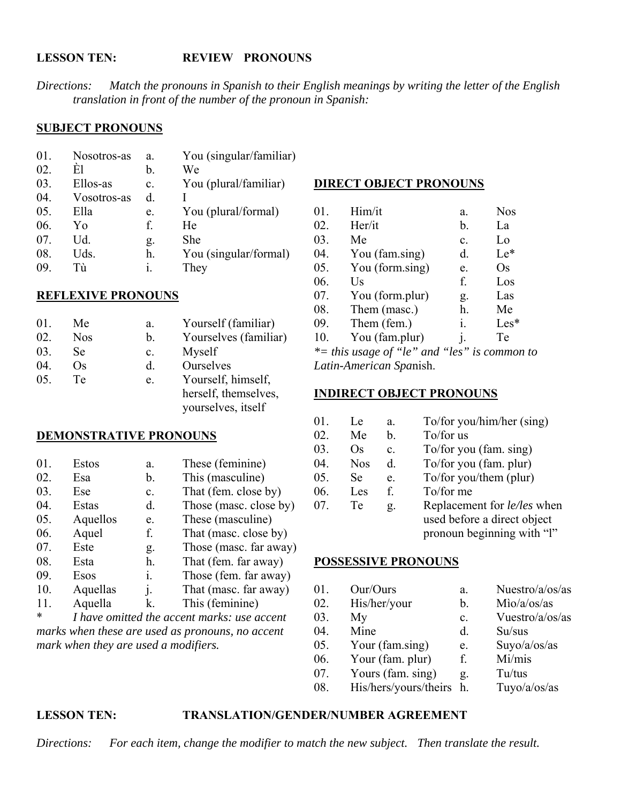#### **LESSON TEN: REVIEW PRONOUNS**

Directions: Match the pronouns in Spanish to their English meanings by writing the letter of the English translation in front of the number of the pronoun in Spanish:

#### **SUBJECT PRONOUNS**

| 01. | Nosotros-as | a. | You (singular/familiar) |
|-----|-------------|----|-------------------------|
| 02. | È1          | b. | We                      |
| 03. | Ellos-as    | c. | You (plural/familiar)   |
| 04. | Vosotros-as | d. |                         |
| 05. | Ella        | e. | You (plural/formal)     |
| 06. | Yο          | f. | He                      |
| 07. | Ud.         | g. | She                     |
| 08. | Uds.        | h. | You (singular/formal)   |
| 09. | Тù          | i. | They                    |

#### **REFLEXIVE PRONOUNS**

| 01. | Me         | a. | Yourself (familiar)   |
|-----|------------|----|-----------------------|
| 02. | <b>Nos</b> | b. | Yourselves (familiar) |
| 03. | Se         | c. | Myself                |
| 04. | Os         | d. | Ourselves             |
| 05. | Te         | e. | Yourself, himself,    |
|     |            |    | herself, themselves,  |
|     |            |    | vourselves, itself    |

#### **DEMONSTRATIVE PRONOUNS**

| 01. | Estos    | a.             | These (feminine)       |
|-----|----------|----------------|------------------------|
| 02. | Esa      | b.             | This (masculine)       |
| 03. | Ese      | $\mathbf{c}$ . | That (fem. close by)   |
| 04. | Estas    | d.             | Those (masc. close by) |
| 05. | Aquellos | e.             | These (masculine)      |
| 06. | Aquel    | f.             | That (masc. close by)  |
| 07. | Este     | g.             | Those (masc. far away) |
| 08. | Esta     | h.             | That (fem. far away)   |
| 09. | Esos     | $\mathbf{1}$ . | Those (fem. far away)  |
| 10. | Aquellas | $\mathbf{i}$ . | That (masc. far away)  |
| 11. | Aquella  | k.             | This (feminine)        |

I have omitted the accent marks: use accent marks when these are used as pronouns, no accent mark when they are used a modifiers.

#### **DIRECT OBJECT PRONOUNS**

| 01. | Him/it                 | a.             | <b>Nos</b> |
|-----|------------------------|----------------|------------|
| 02. | Her/it                 | b.             | La         |
| 03. | Me                     | c.             | Lo         |
| 04. | You (fam.sing)         | d.             | $Le^*$     |
| 05. | You (form.sing)        | e.             | Os         |
| 06. | $\mathbf{U}\mathbf{s}$ | f.             | Los        |
| 07. | You (form.plur)        | g.             | Las        |
| 08. | Them (masc.)           | h.             | Me         |
| 09. | Them (fem.)            | i.             | $Les*$     |
| 10. | You (fam.plur)         | $\mathbf{i}$ . | Te         |
|     |                        |                |            |

 $*$ = this usage of "le" and "les" is common to Latin-American Spanish.

#### **INDIRECT OBJECT PRONOUNS**

| Le.        | a.             | To/for you/him/her (sing)          |
|------------|----------------|------------------------------------|
| Me         | b.             | To/for us                          |
| Os         | C <sub>1</sub> | To/for you (fam. sing)             |
| <b>Nos</b> | d.             | To/for you (fam. plur)             |
| Se         | e.             | To/for you/them (plur)             |
| Les        | f.             | To/for me                          |
| Te         | g.             | Replacement for <i>le/les</i> when |
|            |                | used before a direct object        |
|            |                | pronoun beginning with "l"         |
|            |                |                                    |

 $a<sub>z</sub>$ 

 $\mathbf{b}$ .

 $\mathbf{c}$ .

 $\mathbf{d}$ .

 $e<sub>1</sub>$ 

f.

Nuestro/ $a$ /os/as

Vuestro/a/os/as

 $Mio/a/os/as$ 

Suyo/a/os/as

 $Su/sus$ 

 $Mi/mis$ 

#### **POSSESSIVE PRONOUNS**

- $01.$ Our/Ours
- 02. His/her/your
- 03.  $My$
- Mine 04.
- Your (fam.sing)  $0.5<sub>1</sub>$
- Your (fam. plur) 06.
- 07. Yours (fam. sing) Tu/tus g.
- His/hers/yours/theirs h. 08. Tuyo/a/os/as

#### **TRANSLATION/GENDER/NUMBER AGREEMENT LESSON TEN:**

For each item, change the modifier to match the new subject. Then translate the result. Directions: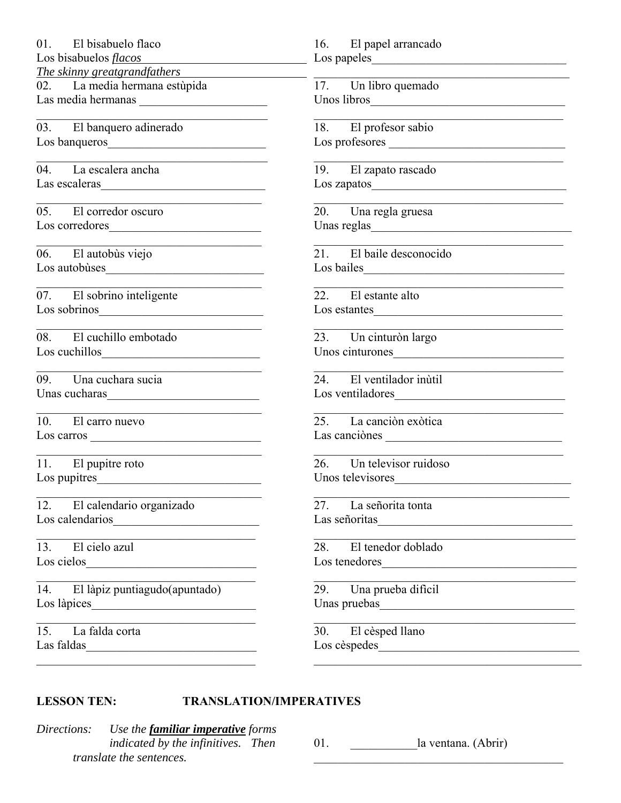01. El bisabuelo flaco

Los bisabuelos *flacos* 

*The skinny greatgrandfathers* 

02. La media hermana estùpida Las media hermanas

03. El banquero adinerado Los banqueros

04. La escalera ancha Las escaleras

05. El corredor oscuro Los corredores

06. El autobùs viejo Los autobùses

07. El sobrino inteligente Los sobrinos\_\_\_\_\_\_\_\_\_\_\_\_\_\_\_\_\_\_\_\_\_\_\_\_\_\_\_

08. El cuchillo embotado Los cuchillos

09. Una cuchara sucia Unas cucharas\_\_\_\_\_\_\_\_\_\_\_\_\_\_\_\_\_\_\_\_\_\_\_\_\_

10. El carro nuevo Los carros \_\_\_\_\_\_\_\_\_\_\_\_\_\_\_\_\_\_\_\_\_\_\_\_\_\_\_\_

11. El pupitre roto Los pupitres\_\_\_\_\_\_\_\_\_\_\_\_\_\_\_\_\_\_\_\_\_\_\_\_\_\_\_

12. El calendario organizado Los calendarios\_\_\_\_\_\_\_\_\_\_\_\_\_\_\_\_\_\_\_\_\_\_\_\_

 $\mathcal{L}_\text{max}$  and  $\mathcal{L}_\text{max}$  and  $\mathcal{L}_\text{max}$  and  $\mathcal{L}_\text{max}$ 

13. El cielo azul Los cielos

14. El làpiz puntiagudo(apuntado) Los làpices\_\_\_\_\_\_\_\_\_\_\_\_\_\_\_\_\_\_\_\_\_\_\_\_\_\_\_

15. La falda corta Las faldas

# 16. El papel arrancado Los papeles\_\_\_\_\_\_\_\_\_\_\_\_\_\_\_\_\_\_\_\_\_\_\_\_\_\_\_\_\_\_\_\_

17. Un libro quemado Unos libros

18. El profesor sabio Los profesores \_\_\_\_\_\_\_\_\_\_\_\_\_\_\_\_\_\_\_\_\_\_\_\_\_\_\_\_\_

19. El zapato rascado Los zapatos

20. Una regla gruesa Unas reglas

21. El baile desconocido Los bailes

22. El estante alto Los estantes

23. Un cinturòn largo Unos cinturones

24. El ventilador inùtil Los ventiladores

25. La canciòn exòtica Las canciònes

26. Un televisor ruidoso Unos televisores

27. La señorita tonta Las señoritas

28. El tenedor doblado Los tenedores

29. Una prueba difìcil Unas pruebas\_\_\_\_\_\_\_\_\_\_\_\_\_\_\_\_\_\_\_\_\_\_\_\_\_\_\_\_\_\_\_\_

30. El cèsped llano Los cèspedes\_\_\_\_\_\_\_\_\_\_\_\_\_\_\_\_\_\_\_\_\_\_\_\_\_\_\_\_\_\_\_\_\_

#### **LESSON TEN: TRANSLATION/IMPERATIVES**

 $\overline{\phantom{a}}$  ,  $\overline{\phantom{a}}$  ,  $\overline{\phantom{a}}$  ,  $\overline{\phantom{a}}$  ,  $\overline{\phantom{a}}$  ,  $\overline{\phantom{a}}$  ,  $\overline{\phantom{a}}$  ,  $\overline{\phantom{a}}$  ,  $\overline{\phantom{a}}$  ,  $\overline{\phantom{a}}$  ,  $\overline{\phantom{a}}$  ,  $\overline{\phantom{a}}$  ,  $\overline{\phantom{a}}$  ,  $\overline{\phantom{a}}$  ,  $\overline{\phantom{a}}$  ,  $\overline{\phantom{a}}$ 

*Directions: Use the familiar imperative forms indicated by the infinitives. Then translate the sentences.*

01. **a** la ventana. (Abrir)

\_\_\_\_\_\_\_\_\_\_\_\_\_\_\_\_\_\_\_\_\_\_\_\_\_\_\_\_\_\_\_\_\_\_\_\_\_\_\_\_\_\_